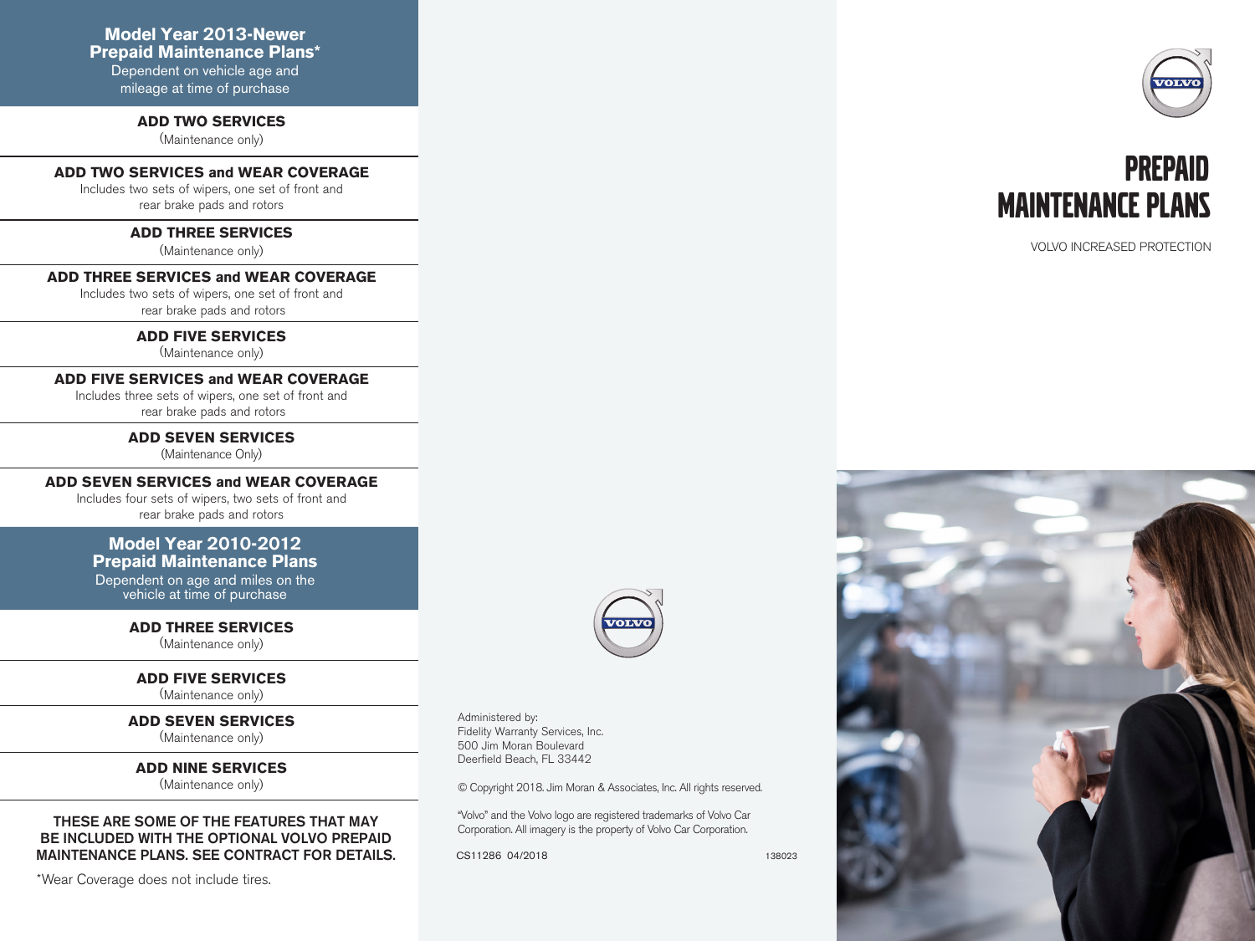Dependent on vehicle age and mileage at time of purchase

#### **ADD TWO SERVICES**

(Maintenance only)

### **ADD TWO SERVICES and WEAR COVERAGE**

Includes two sets of wipers, one set of front and rear brake pads and rotors

#### **ADD THREE SERVICES**

(Maintenance only)

#### **ADD THREE SERVICES and WEAR COVERAGE**

Includes two sets of wipers, one set of front and rear brake pads and rotors

#### **ADD FIVE SERVICES**

(Maintenance only)

#### **ADD FIVE SERVICES and WEAR COVERAGE**

Includes three sets of wipers, one set of front and rear brake pads and rotors

> **ADD SEVEN SERVICES**  (Maintenance Only)

#### **ADD SEVEN SERVICES and WEAR COVERAGE**

Includes four sets of wipers, two sets of front and rear brake pads and rotors

## **Model Year 2010-2012**

**Prepaid Maintenance Plans**

Dependent on age and miles on the vehicle at time of purchase

> **ADD THREE SERVICES** (Maintenance only)

#### **ADD FIVE SERVICES**

(Maintenance only)

**ADD SEVEN SERVICES** (Maintenance only)

**ADD NINE SERVICES** (Maintenance only)

#### THESE ARE SOME OF THE FEATURES THAT MAY BE INCLUDED WITH THE OPTIONAL VOLVO PREPAID MAINTENANCE PLANS. SEE CONTRACT FOR DETAILS.

\*Wear Coverage does not include tires.



Administered by: Fidelity Warranty Services, Inc. 500 Jim Moran Boulevard Deerfield Beach, FL 33442

© Copyright 2018. Jim Moran & Associates, Inc. All rights reserved.

"Volvo" and the Volvo logo are registered trademarks of Volvo Car Corporation. All imagery is the property of Volvo Car Corporation.

CS11286 04/2018

138023





VOLVO INCREASED PROTECTION